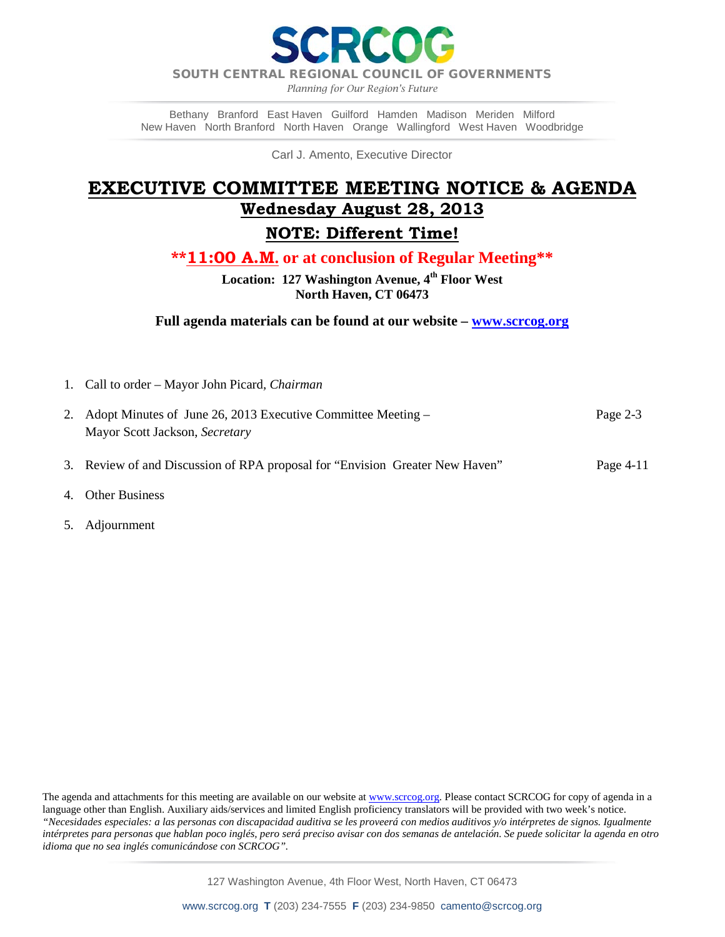RCOI

SOUTH CENTRAL REGIONAL COUNCIL OF GOVERNMENTS

*Planning for Our Region's Future*

Bethany Branford East Haven Guilford Hamden Madison Meriden Milford New Haven North Branford North Haven Orange Wallingford West Haven Woodbridge

Carl J. Amento, Executive Director

## **EXECUTIVE COMMITTEE MEETING NOTICE & AGENDA Wednesday August 28, 2013**

## **NOTE: Different Time!**

**\*\*11:00 A.M. or at conclusion of Regular Meeting\*\***

**Location: 127 Washington Avenue, 4th Floor West North Haven, CT 06473**

**Full agenda materials can be found at our website – [www.scrcog.org](http://www.scrcog.org/)**

1. Call to order – Mayor John Picard*, Chairman*

| 2. Adopt Minutes of June 26, 2013 Executive Committee Meeting – | Page $2-3$ |
|-----------------------------------------------------------------|------------|
| Mayor Scott Jackson, Secretary                                  |            |
|                                                                 |            |

- 3. Review of and Discussion of RPA proposal for "Envision Greater New Haven" Page 4-11
- 4. Other Business
- 5. Adjournment

The agenda and attachments for this meeting are available on our website a[t www.scrcog.org.](http://www.scrcog.org/) Please contact SCRCOG for copy of agenda in a language other than English. Auxiliary aids/services and limited English proficiency translators will be provided with two week's notice. *"Necesidades especiales: a las personas con discapacidad auditiva se les proveerá con medios auditivos y/o intérpretes de signos. Igualmente intérpretes para personas que hablan poco inglés, pero será preciso avisar con dos semanas de antelación. Se puede solicitar la agenda en otro idioma que no sea inglés comunicándose con SCRCOG".*

127 Washington Avenue, 4th Floor West, North Haven, CT 06473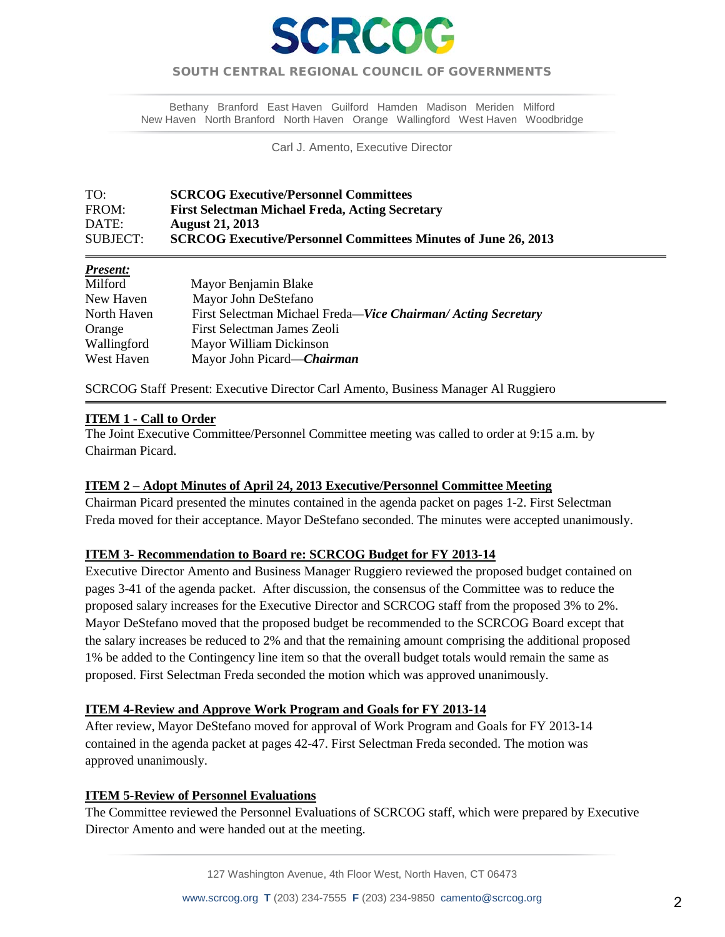

## SOUTH CENTRAL REGIONAL COUNCIL OF GOVERNMENTS  $\overline{a}$

Bethany Branford East Haven Guilford Hamden Madison Meriden Milford New Haven North Branford North Haven Orange Wallingford West Haven Woodbridge

Carl J. Amento, Executive Director

#### TO: **SCRCOG Executive/Personnel Committees**  FROM: **First Selectman Michael Freda, Acting Secretary** DATE: **August 21, 2013** SUBJECT: **SCRCOG Executive/Personnel Committees Minutes of June 26, 2013**

## *Present:*

| Milford     | Mayor Benjamin Blake                                         |
|-------------|--------------------------------------------------------------|
| New Haven   | Mayor John DeStefano                                         |
| North Haven | First Selectman Michael Freda—Vice Chairman/Acting Secretary |
| Orange      | First Selectman James Zeoli                                  |
| Wallingford | Mayor William Dickinson                                      |
| West Haven  | Mayor John Picard—Chairman                                   |

SCRCOG Staff Present: Executive Director Carl Amento, Business Manager Al Ruggiero

### **ITEM 1 - Call to Order**

j

The Joint Executive Committee/Personnel Committee meeting was called to order at 9:15 a.m. by Chairman Picard.

#### **ITEM 2 – Adopt Minutes of April 24, 2013 Executive/Personnel Committee Meeting**

Chairman Picard presented the minutes contained in the agenda packet on pages 1-2. First Selectman Freda moved for their acceptance. Mayor DeStefano seconded. The minutes were accepted unanimously.

#### **ITEM 3- Recommendation to Board re: SCRCOG Budget for FY 2013-14**

Executive Director Amento and Business Manager Ruggiero reviewed the proposed budget contained on pages 3-41 of the agenda packet. After discussion, the consensus of the Committee was to reduce the proposed salary increases for the Executive Director and SCRCOG staff from the proposed 3% to 2%. Mayor DeStefano moved that the proposed budget be recommended to the SCRCOG Board except that the salary increases be reduced to 2% and that the remaining amount comprising the additional proposed 1% be added to the Contingency line item so that the overall budget totals would remain the same as proposed. First Selectman Freda seconded the motion which was approved unanimously.

#### **ITEM 4-Review and Approve Work Program and Goals for FY 2013-14**

After review, Mayor DeStefano moved for approval of Work Program and Goals for FY 2013-14 contained in the agenda packet at pages 42-47. First Selectman Freda seconded. The motion was approved unanimously.

#### **ITEM 5-Review of Personnel Evaluations**

The Committee reviewed the Personnel Evaluations of SCRCOG staff, which were prepared by Executive Director Amento and were handed out at the meeting.

127 Washington Avenue, 4th Floor West, North Haven, CT 06473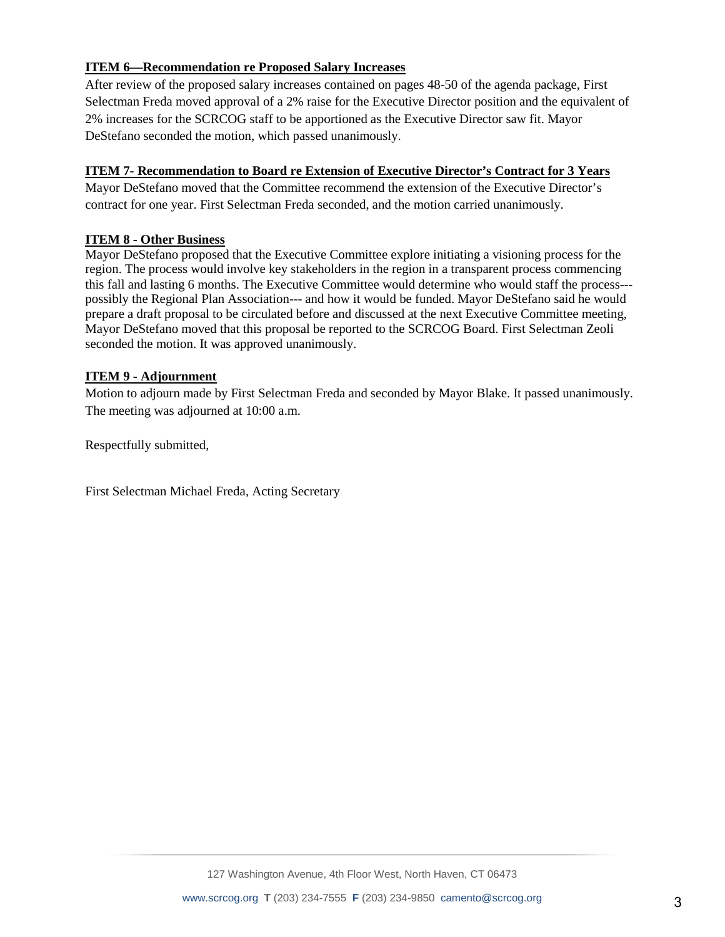## **ITEM 6—Recommendation re Proposed Salary Increases**

After review of the proposed salary increases contained on pages 48-50 of the agenda package, First Selectman Freda moved approval of a 2% raise for the Executive Director position and the equivalent of 2% increases for the SCRCOG staff to be apportioned as the Executive Director saw fit. Mayor DeStefano seconded the motion, which passed unanimously.

## **ITEM 7- Recommendation to Board re Extension of Executive Director's Contract for 3 Years**

Mayor DeStefano moved that the Committee recommend the extension of the Executive Director's contract for one year. First Selectman Freda seconded, and the motion carried unanimously.

## **ITEM 8 - Other Business**

Mayor DeStefano proposed that the Executive Committee explore initiating a visioning process for the region. The process would involve key stakeholders in the region in a transparent process commencing this fall and lasting 6 months. The Executive Committee would determine who would staff the process-- possibly the Regional Plan Association--- and how it would be funded. Mayor DeStefano said he would prepare a draft proposal to be circulated before and discussed at the next Executive Committee meeting, Mayor DeStefano moved that this proposal be reported to the SCRCOG Board. First Selectman Zeoli seconded the motion. It was approved unanimously.

## **ITEM 9 - Adjournment**

Motion to adjourn made by First Selectman Freda and seconded by Mayor Blake. It passed unanimously. The meeting was adjourned at 10:00 a.m.

Respectfully submitted,

First Selectman Michael Freda, Acting Secretary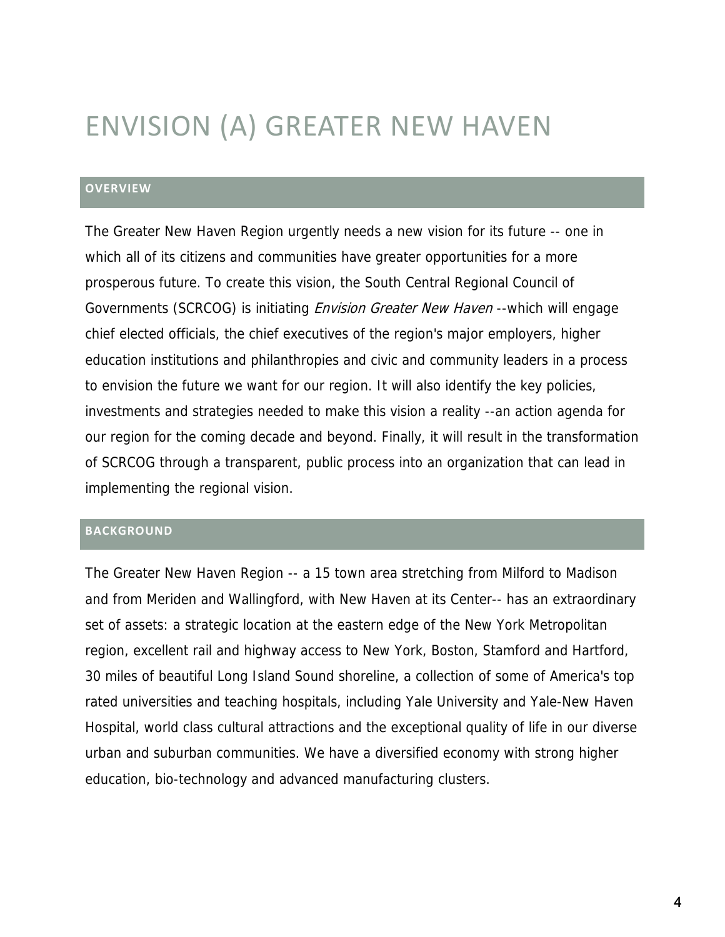# ENVISION (A) GREATER NEW HAVEN

## **OVERVIEW**

The Greater New Haven Region urgently needs a new vision for its future -- one in which all of its citizens and communities have greater opportunities for a more prosperous future. To create this vision, the South Central Regional Council of Governments (SCRCOG) is initiating *Envision Greater New Haven* --which will engage chief elected officials, the chief executives of the region's major employers, higher education institutions and philanthropies and civic and community leaders in a process to envision the future we want for our region. It will also identify the key policies, investments and strategies needed to make this vision a reality --an action agenda for our region for the coming decade and beyond. Finally, it will result in the transformation of SCRCOG through a transparent, public process into an organization that can lead in implementing the regional vision.

## **BACKGROUND**

The Greater New Haven Region -- a 15 town area stretching from Milford to Madison and from Meriden and Wallingford, with New Haven at its Center-- has an extraordinary set of assets: a strategic location at the eastern edge of the New York Metropolitan region, excellent rail and highway access to New York, Boston, Stamford and Hartford, 30 miles of beautiful Long Island Sound shoreline, a collection of some of America's top rated universities and teaching hospitals, including Yale University and Yale-New Haven Hospital, world class cultural attractions and the exceptional quality of life in our diverse urban and suburban communities. We have a diversified economy with strong higher education, bio-technology and advanced manufacturing clusters.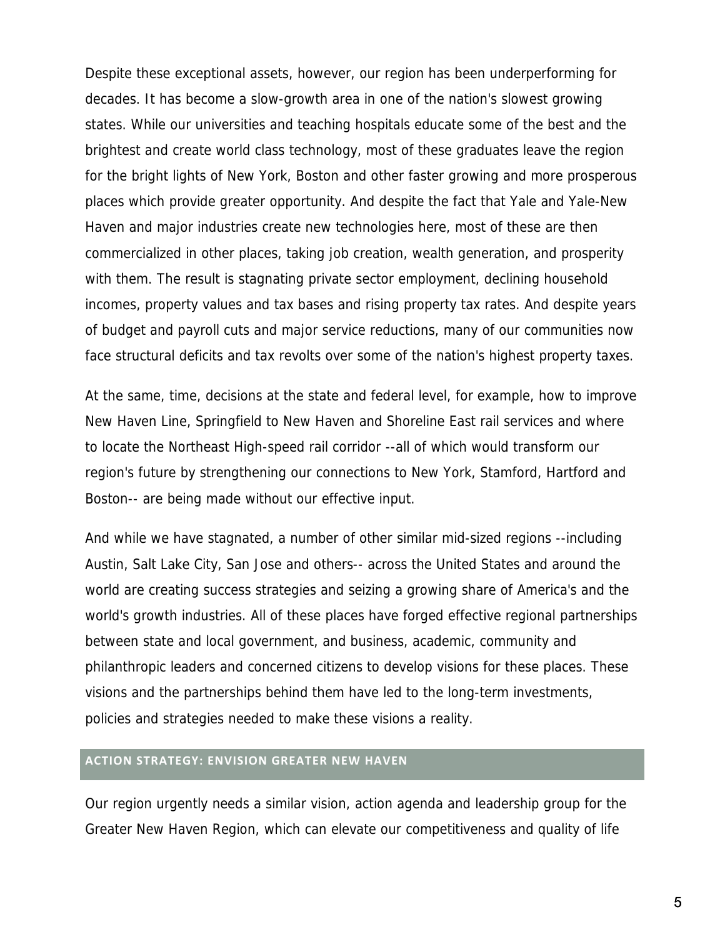Despite these exceptional assets, however, our region has been underperforming for decades. It has become a slow-growth area in one of the nation's slowest growing states. While our universities and teaching hospitals educate some of the best and the brightest and create world class technology, most of these graduates leave the region for the bright lights of New York, Boston and other faster growing and more prosperous places which provide greater opportunity. And despite the fact that Yale and Yale-New Haven and major industries create new technologies here, most of these are then commercialized in other places, taking job creation, wealth generation, and prosperity with them. The result is stagnating private sector employment, declining household incomes, property values and tax bases and rising property tax rates. And despite years of budget and payroll cuts and major service reductions, many of our communities now face structural deficits and tax revolts over some of the nation's highest property taxes.

At the same, time, decisions at the state and federal level, for example, how to improve New Haven Line, Springfield to New Haven and Shoreline East rail services and where to locate the Northeast High-speed rail corridor --all of which would transform our region's future by strengthening our connections to New York, Stamford, Hartford and Boston-- are being made without our effective input.

And while we have stagnated, a number of other similar mid-sized regions --including Austin, Salt Lake City, San Jose and others-- across the United States and around the world are creating success strategies and seizing a growing share of America's and the world's growth industries. All of these places have forged effective regional partnerships between state and local government, and business, academic, community and philanthropic leaders and concerned citizens to develop visions for these places. These visions and the partnerships behind them have led to the long-term investments, policies and strategies needed to make these visions a reality.

## **ACTION STRATEGY: ENVISION GREATER NEW HAVEN**

Our region urgently needs a similar vision, action agenda and leadership group for the Greater New Haven Region, which can elevate our competitiveness and quality of life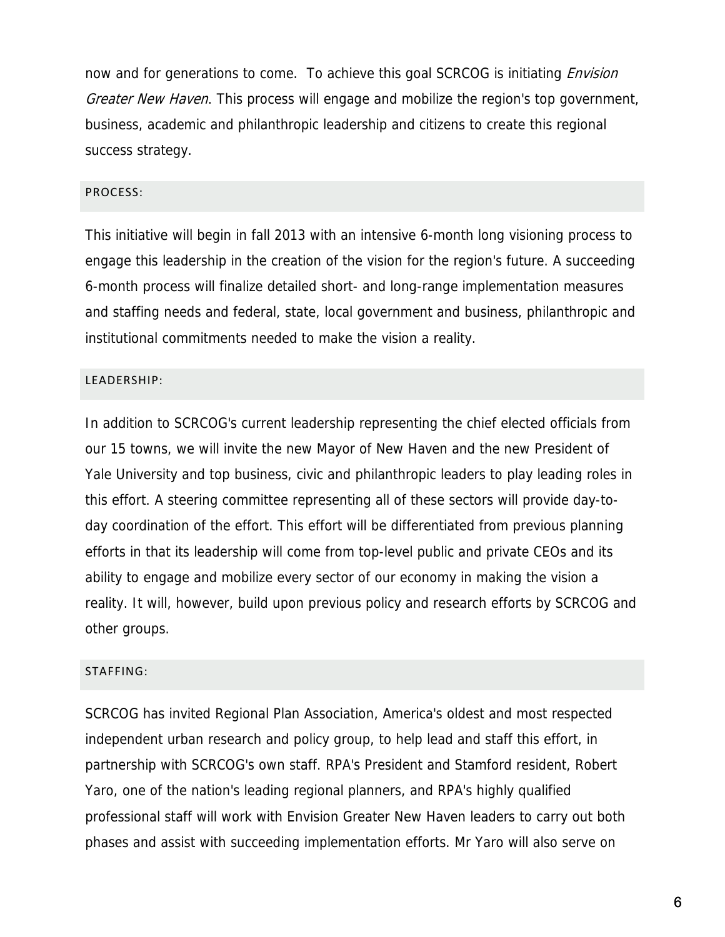now and for generations to come. To achieve this goal SCRCOG is initiating *Envision* Greater New Haven. This process will engage and mobilize the region's top government, business, academic and philanthropic leadership and citizens to create this regional success strategy.

## PROCESS:

This initiative will begin in fall 2013 with an intensive 6-month long visioning process to engage this leadership in the creation of the vision for the region's future. A succeeding 6-month process will finalize detailed short- and long-range implementation measures and staffing needs and federal, state, local government and business, philanthropic and institutional commitments needed to make the vision a reality.

## LEADERSHIP:

In addition to SCRCOG's current leadership representing the chief elected officials from our 15 towns, we will invite the new Mayor of New Haven and the new President of Yale University and top business, civic and philanthropic leaders to play leading roles in this effort. A steering committee representing all of these sectors will provide day-today coordination of the effort. This effort will be differentiated from previous planning efforts in that its leadership will come from top-level public and private CEOs and its ability to engage and mobilize every sector of our economy in making the vision a reality. It will, however, build upon previous policy and research efforts by SCRCOG and other groups.

#### STAFFING:

SCRCOG has invited Regional Plan Association, America's oldest and most respected independent urban research and policy group, to help lead and staff this effort, in partnership with SCRCOG's own staff. RPA's President and Stamford resident, Robert Yaro, one of the nation's leading regional planners, and RPA's highly qualified professional staff will work with Envision Greater New Haven leaders to carry out both phases and assist with succeeding implementation efforts. Mr Yaro will also serve on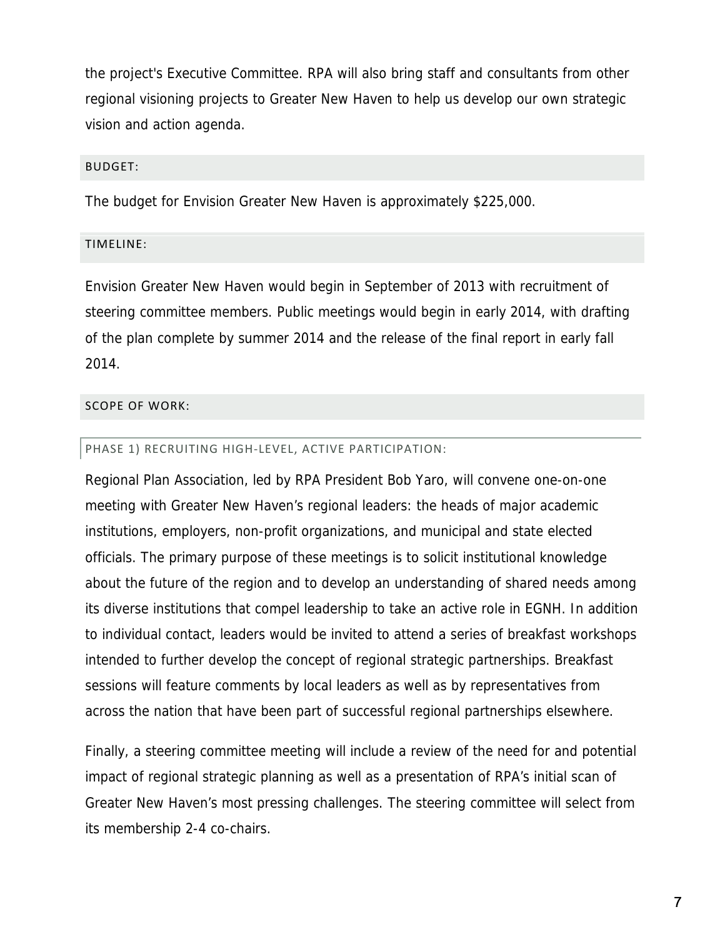the project's Executive Committee. RPA will also bring staff and consultants from other regional visioning projects to Greater New Haven to help us develop our own strategic vision and action agenda.

### BUDGET:

The budget for Envision Greater New Haven is approximately \$225,000.

## TIMELINE:

Envision Greater New Haven would begin in September of 2013 with recruitment of steering committee members. Public meetings would begin in early 2014, with drafting of the plan complete by summer 2014 and the release of the final report in early fall 2014.

## SCOPE OF WORK:

## PHASE 1) RECRUITING HIGH-LEVEL, ACTIVE PARTICIPATION:

Regional Plan Association, led by RPA President Bob Yaro, will convene one-on-one meeting with Greater New Haven's regional leaders: the heads of major academic institutions, employers, non-profit organizations, and municipal and state elected officials. The primary purpose of these meetings is to solicit institutional knowledge about the future of the region and to develop an understanding of shared needs among its diverse institutions that compel leadership to take an active role in EGNH. In addition to individual contact, leaders would be invited to attend a series of breakfast workshops intended to further develop the concept of regional strategic partnerships. Breakfast sessions will feature comments by local leaders as well as by representatives from across the nation that have been part of successful regional partnerships elsewhere.

Finally, a steering committee meeting will include a review of the need for and potential impact of regional strategic planning as well as a presentation of RPA's initial scan of Greater New Haven's most pressing challenges. The steering committee will select from its membership 2-4 co-chairs.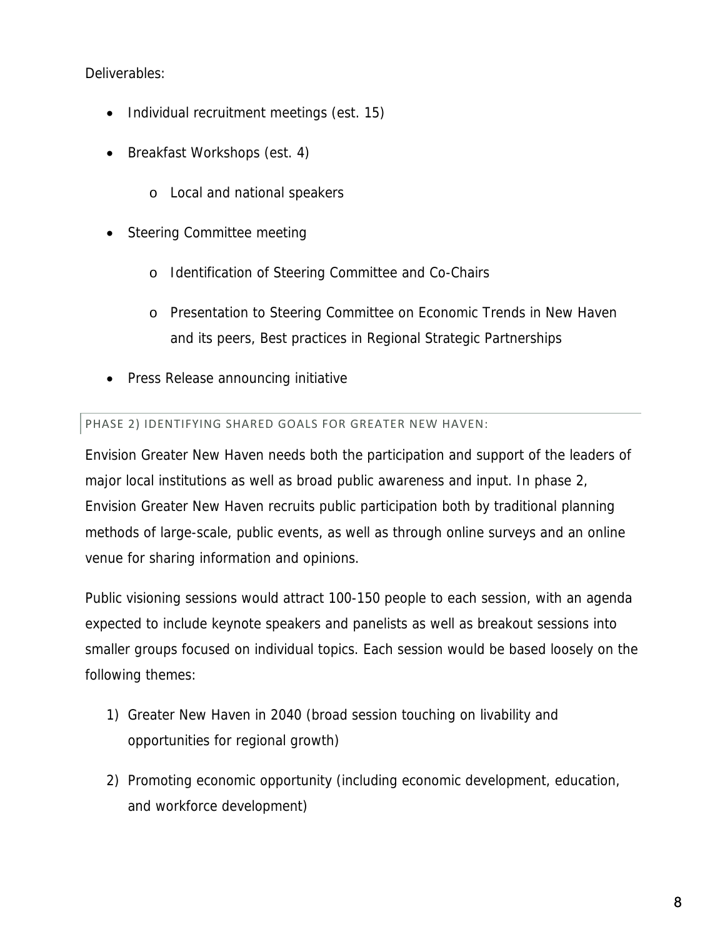Deliverables:

- Individual recruitment meetings (est. 15)
- Breakfast Workshops (est. 4)
	- o Local and national speakers
- Steering Committee meeting
	- o Identification of Steering Committee and Co-Chairs
	- o Presentation to Steering Committee on Economic Trends in New Haven and its peers, Best practices in Regional Strategic Partnerships
- Press Release announcing initiative

## PHASE 2) IDENTIFYING SHARED GOALS FOR GREATER NEW HAVEN:

Envision Greater New Haven needs both the participation and support of the leaders of major local institutions as well as broad public awareness and input. In phase 2, Envision Greater New Haven recruits public participation both by traditional planning methods of large-scale, public events, as well as through online surveys and an online venue for sharing information and opinions.

Public visioning sessions would attract 100-150 people to each session, with an agenda expected to include keynote speakers and panelists as well as breakout sessions into smaller groups focused on individual topics. Each session would be based loosely on the following themes:

- 1) Greater New Haven in 2040 (broad session touching on livability and opportunities for regional growth)
- 2) Promoting economic opportunity (including economic development, education, and workforce development)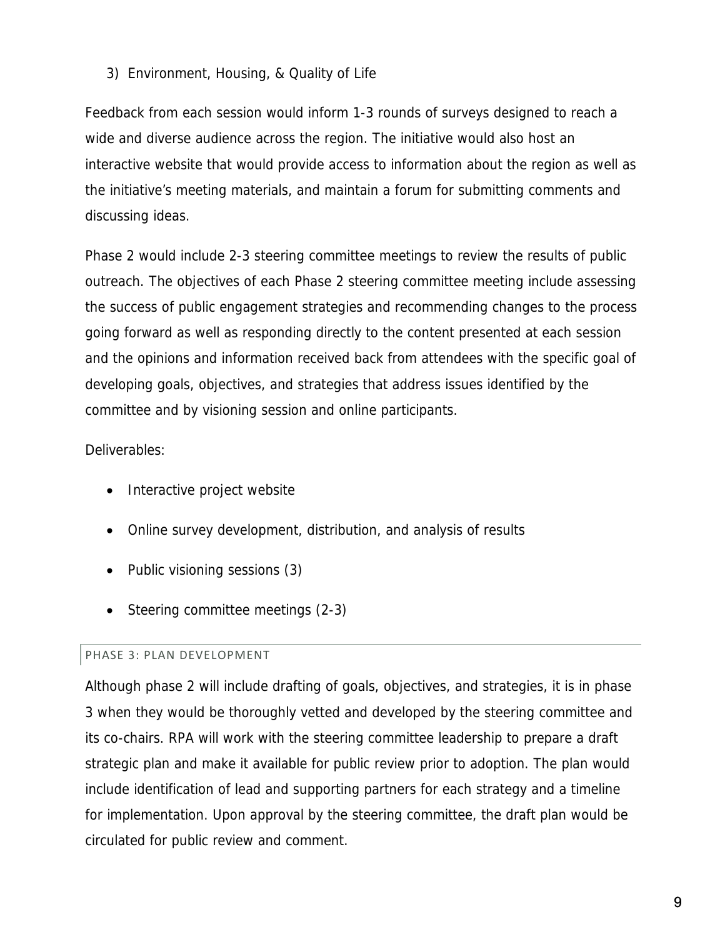## 3) Environment, Housing, & Quality of Life

Feedback from each session would inform 1-3 rounds of surveys designed to reach a wide and diverse audience across the region. The initiative would also host an interactive website that would provide access to information about the region as well as the initiative's meeting materials, and maintain a forum for submitting comments and discussing ideas.

Phase 2 would include 2-3 steering committee meetings to review the results of public outreach. The objectives of each Phase 2 steering committee meeting include assessing the success of public engagement strategies and recommending changes to the process going forward as well as responding directly to the content presented at each session and the opinions and information received back from attendees with the specific goal of developing goals, objectives, and strategies that address issues identified by the committee and by visioning session and online participants.

## Deliverables:

- Interactive project website
- Online survey development, distribution, and analysis of results
- Public visioning sessions (3)
- Steering committee meetings (2-3)

## PHASE 3: PLAN DEVELOPMENT

Although phase 2 will include drafting of goals, objectives, and strategies, it is in phase 3 when they would be thoroughly vetted and developed by the steering committee and its co-chairs. RPA will work with the steering committee leadership to prepare a draft strategic plan and make it available for public review prior to adoption. The plan would include identification of lead and supporting partners for each strategy and a timeline for implementation. Upon approval by the steering committee, the draft plan would be circulated for public review and comment.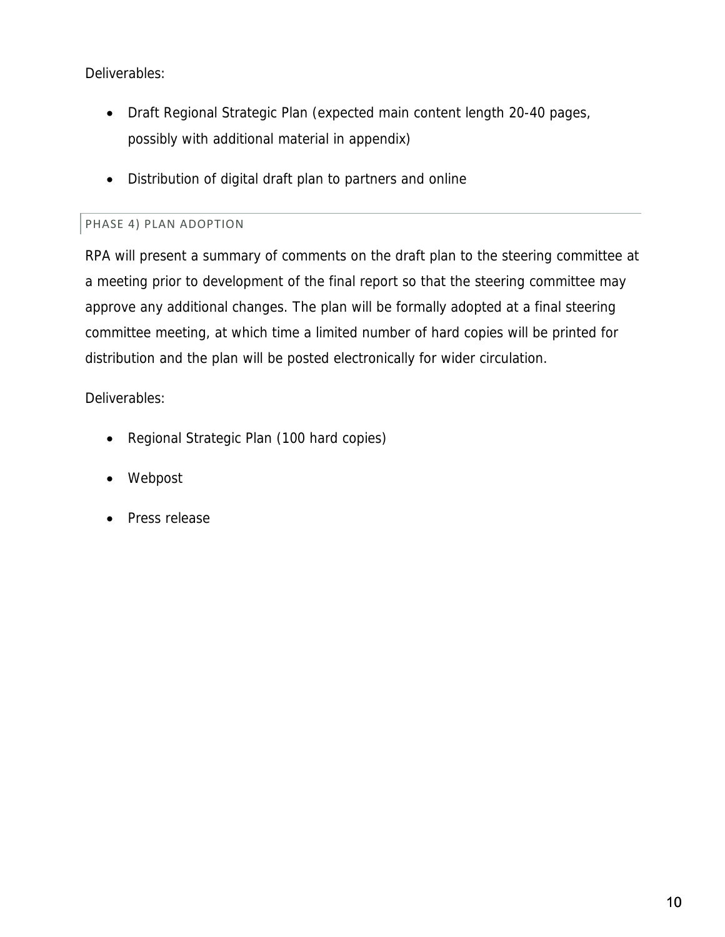Deliverables:

- Draft Regional Strategic Plan (expected main content length 20-40 pages, possibly with additional material in appendix)
- Distribution of digital draft plan to partners and online

## PHASE 4) PLAN ADOPTION

RPA will present a summary of comments on the draft plan to the steering committee at a meeting prior to development of the final report so that the steering committee may approve any additional changes. The plan will be formally adopted at a final steering committee meeting, at which time a limited number of hard copies will be printed for distribution and the plan will be posted electronically for wider circulation.

Deliverables:

- Regional Strategic Plan (100 hard copies)
- Webpost
- Press release